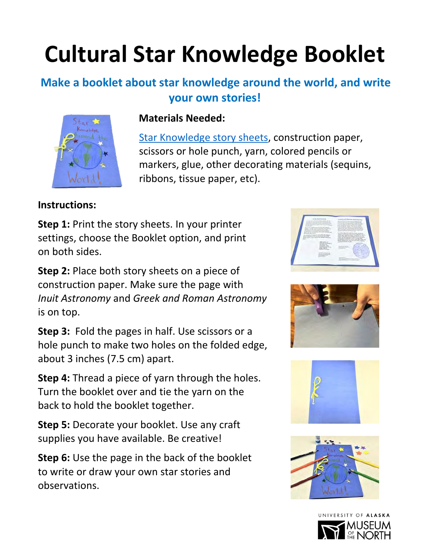# **Cultural Star Knowledge Booklet**

### **Make a booklet about star knowledge around the world, and write your own stories!**



#### **Materials Needed:**

[Star Knowledge story sheets,](https://www.uaf.edu/museum/education/educators/heliophysics-aurora-outre/activities/pdfs/Cultural-Star-Knowledge-Story-Sheets.pdf) construction paper, scissors or hole punch, yarn, colored pencils or markers, glue, other decorating materials (sequins, ribbons, tissue paper, etc).

#### **Instructions:**

**Step 1:** Print the story sheets. In your printer settings, choose the Booklet option, and print on both sides.

**Step 2:** Place both story sheets on a piece of construction paper. Make sure the page with *Inuit Astronomy* and *Greek and Roman Astronomy* is on top.

**Step 3:** Fold the pages in half. Use scissors or a hole punch to make two holes on the folded edge, about 3 inches (7.5 cm) apart.

**Step 4:** Thread a piece of yarn through the holes. Turn the booklet over and tie the yarn on the back to hold the booklet together.

**Step 5:** Decorate your booklet. Use any craft supplies you have available. Be creative!

**Step 6:** Use the page in the back of the booklet to write or draw your own star stories and observations.